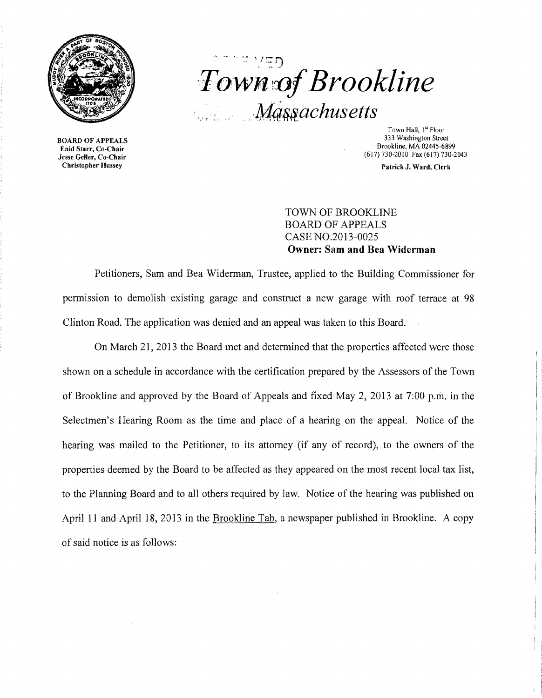

BOARD OF APPEALS Enid Starr, Co-Chair Jesse Geller, Co-Chair Christopher Hussey

# $\sim$  " $\sim$   $\sim$   $\sim$   $\sim$   $\sim$   $\sim$  $T$ own of Brookline *Massachusetts*

Town Hall, I" Floor 333 Washington Street Brookline, MA 02445-6899 (617) 730-2010 Fax (617) 730-2043

Patrick J. Ward, Clerk

i

# TOWN OF BROOKLINE BOARD OF APPEALS CASE NO.20l3-0025 **Owner: Sam and Bea Widerman**

Petitioners, Sam and Bea Widerman, Trustee, applied to the Building Commissioner for permission to demolish existing garage and construct a new garage with roof terrace at 98 Clinton Road. The application was denied and an appeal was taken to this Board.

On March 21, 2013 the Board met and determined that the properties affected were those shown on a schedule in accordance with the certification prepared by the Assessors of the Town of Brookline and approved by the Board of Appeals and fixed May 2, 2013 at 7:00 p.m. in the Selectmen's Hearing Room as the time and place of a hearing on the appeal. Notice of the hearing was mailed to the Petitioner, to its attorney (if any of record), to the owners of the properties deemed by the Board to be affected as they appeared on the most recent local tax list, to the Planning Board and to all others required by law. Notice of the hearing was published on April 11 and April 18, 2013 in the Brookline Tab, a newspaper published in Brookline. A copy of said notice is as follows: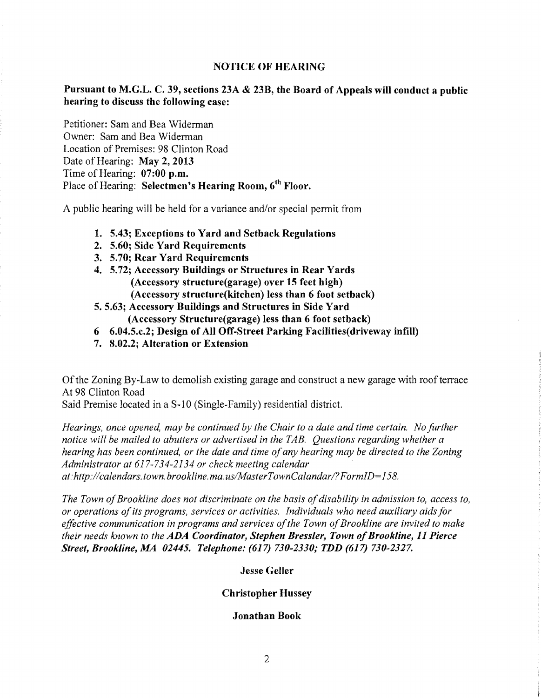## NOTICE OF HEARING

# Pursuant to M.G.L. C. 39, sections 23A & 23B, the Board of Appeals will conduct a public hearing to discuss the following case:

Petitioner: Sam and Bea Widerman Owner: Sam and Bea Widerman Location of Premises: 98 Clinton Road Date of Hearing: May 2, 2013 Time of Hearing: 07:00 p.m. Place of Hearing: Selectmen's Hearing Room, 6<sup>th</sup> Floor.

A public hearing will be held for a variance and/or special permit from

- 1. 5.43; Exceptions to Yard and Setback Regulations
- 2. 5.60; Side Yard Requirements
- 3. 5.70; Rear Yard Requirements
- 4. 5.72; Accessory Buildings or Structures in Rear Yards (Accessory structure(garage) over 15 feet high)
	- (Accessory structure(kitchen) less than 6 foot setback)
- 5. 5.63; Accessory Buildings and Structures in Side Yard (Accessory Structure(garage) less than 6 foot setback)
- 6 6.04.5.c.2; Design of All Off-Street Parking Facilities(driveway infill)
- 7. 8.02.2; Alteration or Extension

Of the Zoning By-Law to demolish existing garage and construct a new garage with roof terrace At 98 Clinton Road

Said Premise located in a S-10 (Single-Family) residential district.

*Hearings, once opened, may be continued by the Chair to a date and time certain. No Jurther notice will be mailed to abutters or advertised in the TAB. Questions regarding whether a hearing has been continued, or the date and time ojany hearing may be directed to the Zoning Administrator at* 617-734-2134 *or check meeting calendar at: http://calendars.town.brookline.ma.usIMasterTownCalandarl? FormID= 158.* 

*The Town of Brookline does not discriminate on the basis of disability in admission to, access to, or operations ojits programs, services or activities. Individuals who need auxiliary aids Jor*  effective communication in programs and services of the Town of Brookline are invited to make *their needs known to the ADA Coordinator, Stephen Bressler, Town of Brookline, 11 Pierce Street, Brookline, MA 02445. Telephone:* (617) *730-2330; TDD* (617) *730-2327.* 

Jesse Geller

## Christopher Hussey

### Jonathan Book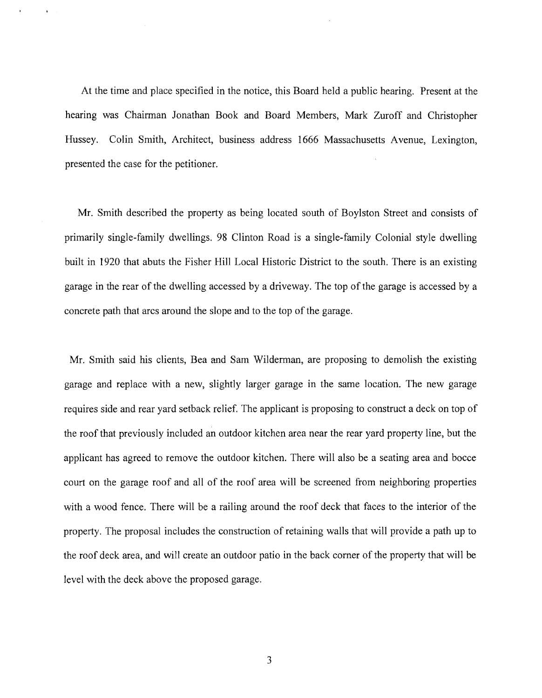At the time and place specified in the notice, this Board held a public hearing. Present at the hearing was Chairman Jonathan Book and Board Members, Mark Zuroff and Christopher Hussey. Colin Smith, Architect, business address 1666 Massachusetts Avenue, Lexington, presented the case for the petitioner.

Mr. Smith described the property as being located south of Boylston Street and consists of primarily single-family dwellings. 98 Clinton Road is a single-family Colonial style dwelling built in 1920 that abuts the Fisher Hill Local Historic District to the south. There is an existing garage in the rear of the dwelling accessed by a driveway. The top of the garage is accessed by a concrete path that arcs around the slope and to the top of the garage.

Mr. Smith said his clients, Bea and Sam Wilderman, are proposing to demolish the existing garage and replace with a new, slightly larger garage in the same location. The new garage requires side and rear yard setback relief. The applicant is proposing to construct a deck on top of the roof that previously included an outdoor kitchen area near the rear yard property line, but the applicant has agreed to remove the outdoor kitchen. There will also be a seating area and bocce court on the garage roof and all of the roof area will be screened from neighboring properties with a wood fence. There will be a railing around the roof deck that faces to the interior of the property. The proposal includes the construction of retaining walls that will provide a path up to the roof deck area, and will create an outdoor patio in the back corner of the property that will be level with the deck above the proposed garage.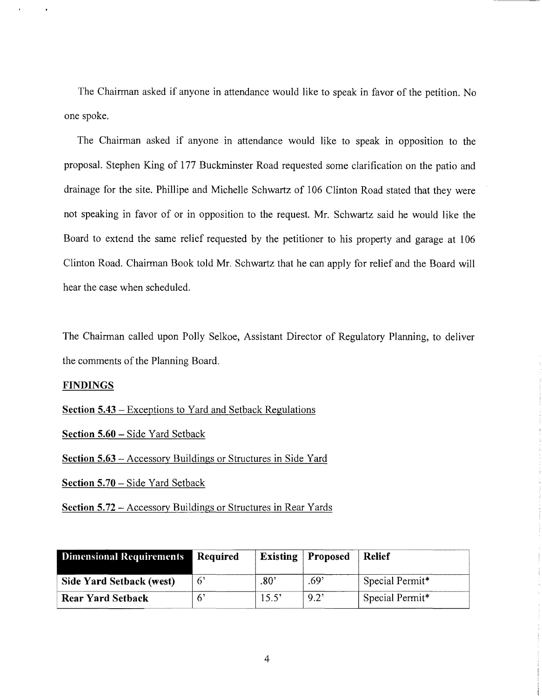The Chairman asked if anyone in attendance would like to speak in favor of the petition. No one spoke.

The Chairman asked if anyone in attendance would like to speak in opposition to the proposal. Stephen King of 177 Buckminster Road requested some clarification on the patio and drainage for the site. Phillipe and Michelle Schwartz of 106 Clinton Road stated that they were not speaking in favor of or in opposition to the request. Mr. Schwartz said he would like the Board to extend the same relief requested by the petitioner to his property and garage at 106 Clinton Road. Chairman Book told Mr. Schwartz that he can apply for relief and the Board will hear the case when scheduled.

The Chairman called upon Polly Selkoe, Assistant Director of Regulatory Planning, to deliver the comments of the Planning Board.

## **FINDINGS**

**Section 5.43** - Exceptions to Yard and Setback Regulations

**Section 5.60** - Side Yard Setback

**Section 5.63** – Accessory Buildings or Structures in Side Yard

**Section 5.70** - Side Yard Setback

**Section 5.72 – Accessory Buildings or Structures in Rear Yards** 

| Dimensional Requirements | Required | <b>Existing</b> | Proposed | <b>Relief</b>   |
|--------------------------|----------|-----------------|----------|-----------------|
| Side Yard Setback (west) | 6'       | :80             | .69'     | Special Permit* |
| <b>Rear Yard Setback</b> |          | 15.5'           | 9.2'     | Special Permit* |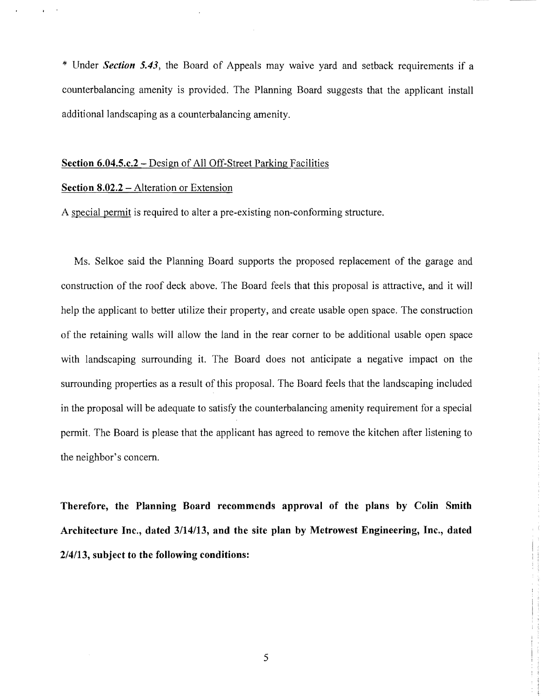\* Under *Section* 5.43, the Board of Appeals may waive yard and setback requirements if a counterbalancing amenity is provided. The Planning Board suggests that the applicant install additional landscaping as a counterbalancing amenity.

#### Section 6.04.S.c.2 - Design of All Off-Street Parking Facilities

#### Section 8.02.2 – Alteration or Extension

A special permit is required to alter a pre-existing non-conforming structure.

Ms. Selkoe said the Planning Board supports the proposed replacement of the garage and construction of the roof deck above. The Board feels that this proposal is attractive, and it will help the applicant to better utilize their property, and create usable open space. The construction of the retaining walls will allow the land in the rear comer to be additional usable open space with landscaping surrounding it. The Board does not anticipate a negative impact on the surrounding properties as a result of this proposal. The Board feels that the landscaping included in the proposal will be adequate to satisfy the counterbalancing amenity requirement for a special permit. The Board is please that the applicant has agreed to remove the kitchen after listening to the neighbor's concern.

Therefore, the Planning Board recommends approval of the plans by Colin Smith Architecture Inc., dated 3/14113, and the site plan by Metrowest Engineering, Inc., dated 2/4/13, subject to the following conditions:

I I .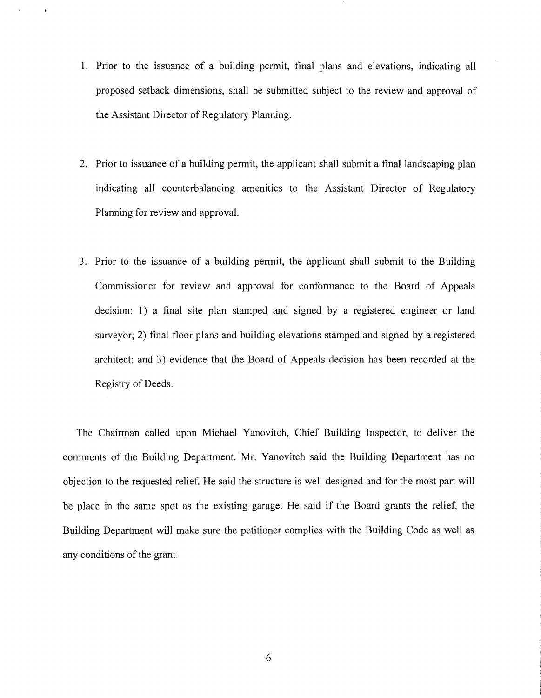- 1. Prior to the issuance of a building permit, final plans and elevations, indicating all proposed setback dimensions, shall be submitted subject to the review and approval of the Assistant Director of Regulatory Planning.
- 2. Prior to issuance of a building permit, the applicant shall submit a final landscaping plan indicating all counterbalancing amenities to the Assistant Director of Regulatory Planning for review and approval.
- 3. Prior to the issuance of a building permit, the applicant shall submit to the Building Commissioner for review and approval for conformance to the Board of Appeals decision: 1) a final site plan stamped and signed by a registered engineer or land surveyor; 2) final floor plans and building elevations stamped and signed by a registered architect; and 3) evidence that the Board of Appeals decision has been recorded at the Registry of Deeds.

The Chairman called upon Michael Yanovitch, Chief Building Inspector, to deliver the comments of the Building Department. Mr. Yanovitch said the Building Department has no objection to the requested relief. He said the structure is well designed and for the most part will be place in the same spot as the existing garage. He said if the Board grants the relief, the Building Department will make sure the petitioner complies with the Building Code as well as any conditions of the grant.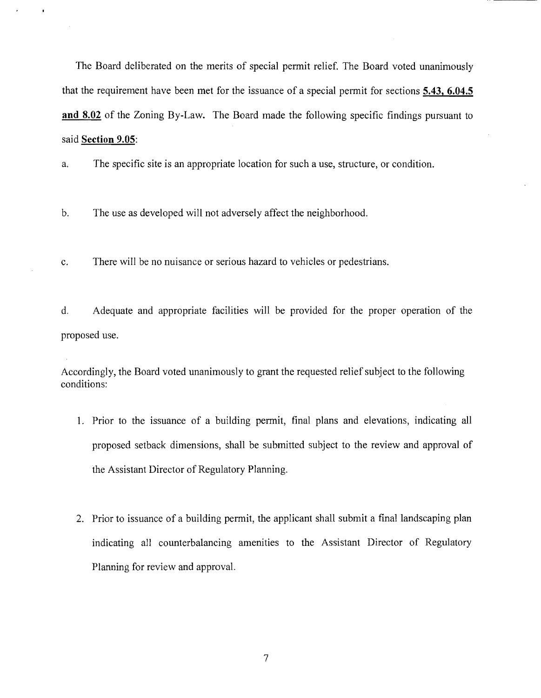The Board deliberated on the merits of special permit relief. The Board voted unanimously that the requirement have been met for the issuance of a special permit for sections **5.43, 6.04.5 and 8.02** of the Zoning By-Law. The Board made the following specific findings pursuant to said **Section 9.05:** 

a. The specific site is an appropriate location for such a use, structure, or condition.

b. The use as developed will not adversely affect the neighborhood.

c. There will be no nuisance or serious hazard to vehicles or pedestrians.

d. Adequate and appropriate facilities will be provided for the proper operation of the proposed use.

Accordingly, the Board voted unanimously to grant the requested relief subject to the following conditions:

- 1. Prior to the issuance of a building permit, final plans and elevations, indicating all proposed setback dimensions, shall be submitted subject to the review and approval of the Assistant Director of Regulatory Planning.
- 2. Prior to issuance of a building permit, the applicant shall submit a final landscaping plan indicating all counterbalancing amenities to the Assistant Director of Regulatory Planning for review and approval.

7